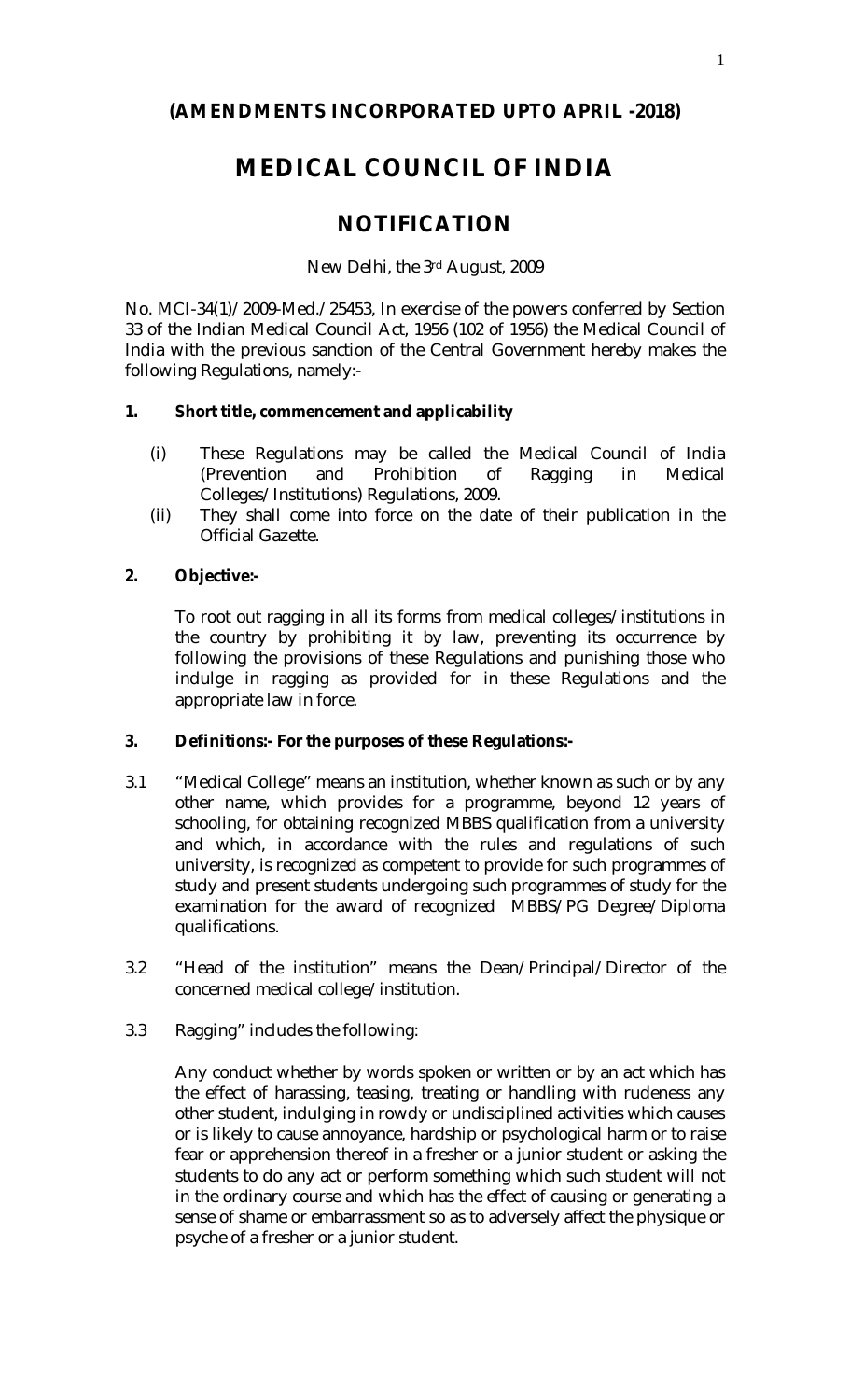## **(AMENDMENTS INCORPORATED UPTO APRIL -2018)**

# **MEDICAL COUNCIL OF INDIA**

## **NOTIFICATION**

New Delhi, the 3rd August, 2009

No. MCI-34(1)/2009-Med./25453, In exercise of the powers conferred by Section 33 of the Indian Medical Council Act, 1956 (102 of 1956) the Medical Council of India with the previous sanction of the Central Government hereby makes the following Regulations, namely:-

## **1. Short title, commencement and applicability**

- (i) These Regulations may be called the Medical Council of India (Prevention and Prohibition of Ragging in Medical Colleges/Institutions) Regulations, 2009.
- (ii) They shall come into force on the date of their publication in the Official Gazette.

## **2. Objective:-**

To root out ragging in all its forms from medical colleges/institutions in the country by prohibiting it by law, preventing its occurrence by following the provisions of these Regulations and punishing those who indulge in ragging as provided for in these Regulations and the appropriate law in force.

## **3. Definitions:- For the purposes of these Regulations:-**

- 3.1 "Medical College" means an institution, whether known as such or by any other name, which provides for a programme, beyond 12 years of schooling, for obtaining recognized MBBS qualification from a university and which, in accordance with the rules and regulations of such university, is recognized as competent to provide for such programmes of study and present students undergoing such programmes of study for the examination for the award of recognized MBBS/PG Degree/Diploma qualifications.
- 3.2 "Head of the institution" means the Dean/Principal/Director of the concerned medical college/institution.
- 3.3 Ragging" includes the following:

Any conduct whether by words spoken or written or by an act which has the effect of harassing, teasing, treating or handling with rudeness any other student, indulging in rowdy or undisciplined activities which causes or is likely to cause annoyance, hardship or psychological harm or to raise fear or apprehension thereof in a fresher or a junior student or asking the students to do any act or perform something which such student will not in the ordinary course and which has the effect of causing or generating a sense of shame or embarrassment so as to adversely affect the physique or psyche of a fresher or a junior student.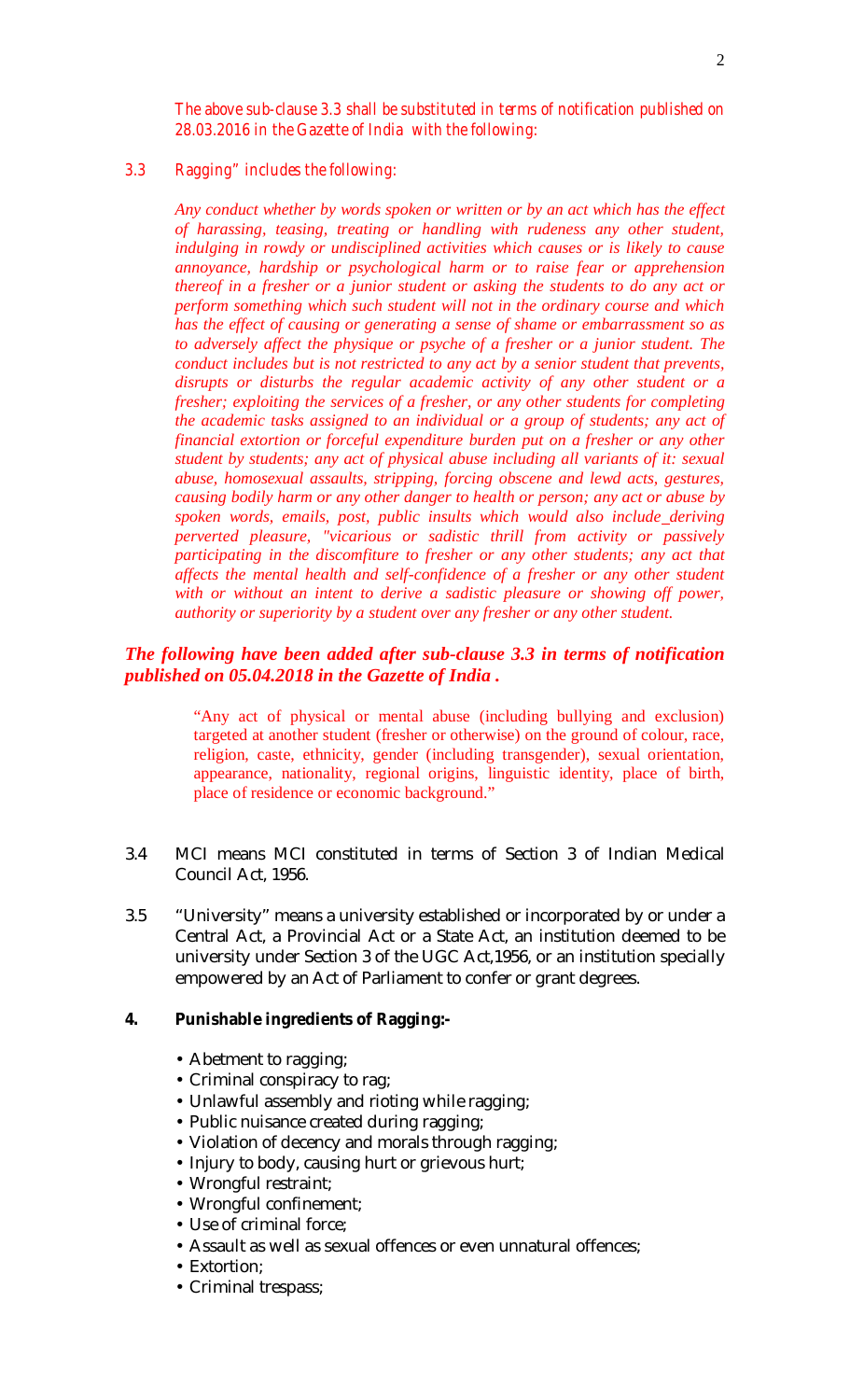*The above sub-clause 3.3 shall be substituted in terms of notification published on 28.03.2016 in the Gazette of India with the following:*

## *3.3 Ragging" includes the following:*

*Any conduct whether by words spoken or written or by an act which has the effect of harassing, teasing, treating or handling with rudeness any other student, indulging in rowdy or undisciplined activities which causes or is likely to cause annoyance, hardship or psychological harm or to raise fear or apprehension thereof in a fresher or a junior student or asking the students to do any act or perform something which such student will not in the ordinary course and which has the effect of causing or generating a sense of shame or embarrassment so as to adversely affect the physique or psyche of a fresher or a junior student. The conduct includes but is not restricted to any act by a senior student that prevents, disrupts or disturbs the regular academic activity of any other student or a fresher; exploiting the services of a fresher, or any other students for completing the academic tasks assigned to an individual or a group of students; any act of financial extortion or forceful expenditure burden put on a fresher or any other student by students; any act of physical abuse including all variants of it: sexual abuse, homosexual assaults, stripping, forcing obscene and lewd acts, gestures, causing bodily harm or any other danger to health or person; any act or abuse by spoken words, emails, post, public insults which would also include deriving perverted pleasure, "vicarious or sadistic thrill from activity or passively participating in the discomfiture to fresher or any other students; any act that affects the mental health and self-confidence of a fresher or any other student*  with or without an intent to derive a sadistic pleasure or showing off power, *authority or superiority by a student over any fresher or any other student.*

## *The following have been added after sub-clause 3.3 in terms of notification published on 05.04.2018 in the Gazette of India .*

"Any act of physical or mental abuse (including bullying and exclusion) targeted at another student (fresher or otherwise) on the ground of colour, race, religion, caste, ethnicity, gender (including transgender), sexual orientation, appearance, nationality, regional origins, linguistic identity, place of birth, place of residence or economic background."

- 3.4 MCI means MCI constituted in terms of Section 3 of Indian Medical Council Act, 1956.
- 3.5 "University" means a university established or incorporated by or under a Central Act, a Provincial Act or a State Act, an institution deemed to be university under Section 3 of the UGC Act,1956, or an institution specially empowered by an Act of Parliament to confer or grant degrees.

#### **4. Punishable ingredients of Ragging:-**

- Abetment to ragging;
- Criminal conspiracy to rag;
- Unlawful assembly and rioting while ragging;
- Public nuisance created during ragging;
- Violation of decency and morals through ragging;
- Injury to body, causing hurt or grievous hurt;
- Wrongful restraint;
- Wrongful confinement;
- Use of criminal force;
- Assault as well as sexual offences or even unnatural offences;
- Extortion;
- Criminal trespass;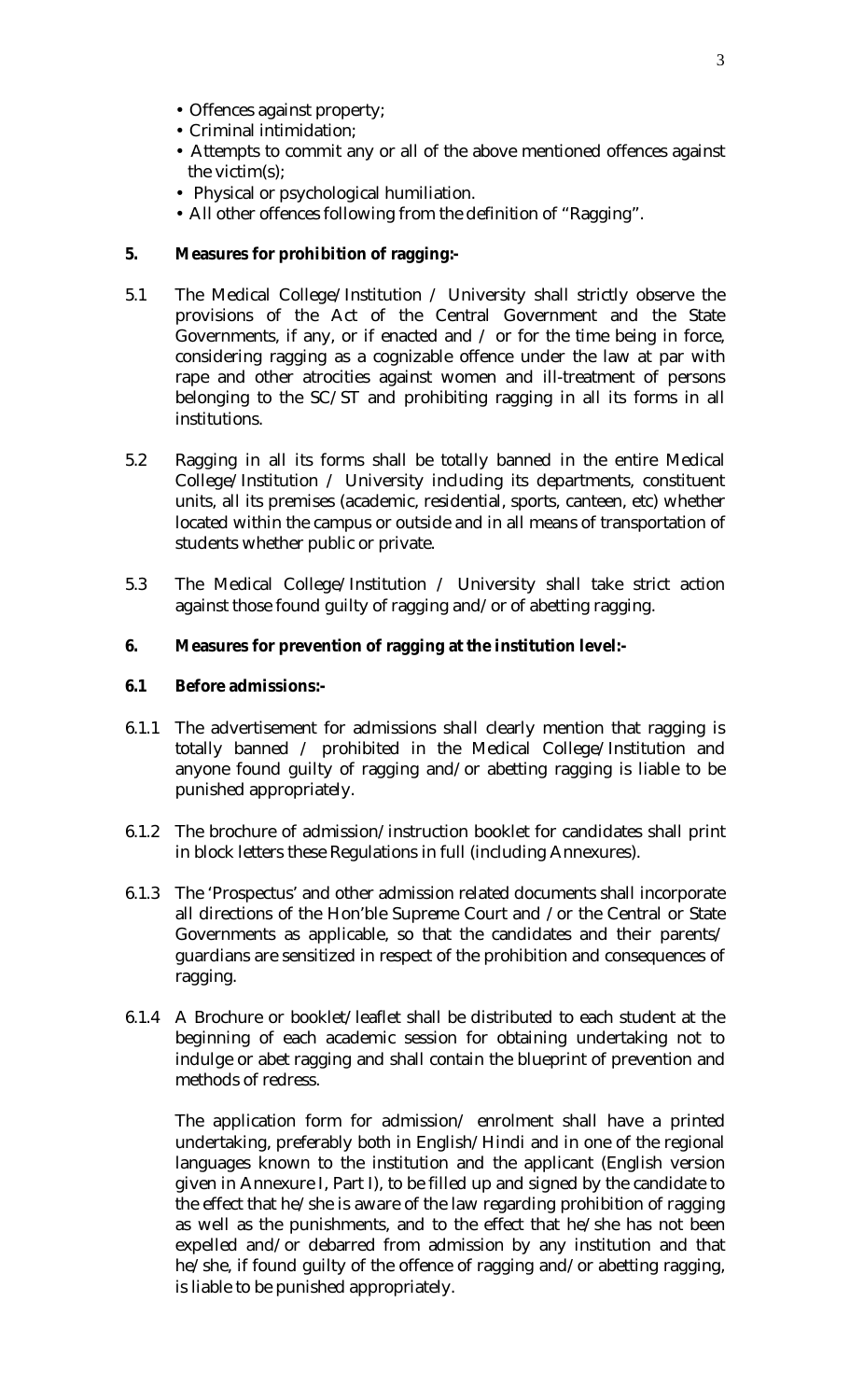- Offences against property;
- Criminal intimidation;
- Attempts to commit any or all of the above mentioned offences against the victim(s);
- Physical or psychological humiliation.
- All other offences following from the definition of "Ragging".

## **5. Measures for prohibition of ragging:-**

- 5.1 The Medical College/Institution / University shall strictly observe the provisions of the Act of the Central Government and the State Governments, if any, or if enacted and  $\ell$  or for the time being in force, considering ragging as a cognizable offence under the law at par with rape and other atrocities against women and ill-treatment of persons belonging to the SC/ST and prohibiting ragging in all its forms in all institutions.
- 5.2 Ragging in all its forms shall be totally banned in the entire Medical College/Institution / University including its departments, constituent units, all its premises (academic, residential, sports, canteen, etc) whether located within the campus or outside and in all means of transportation of students whether public or private.
- 5.3 The Medical College/Institution / University shall take strict action against those found guilty of ragging and/or of abetting ragging.

## **6. Measures for prevention of ragging at the institution level:-**

## **6.1 Before admissions:-**

- 6.1.1 The advertisement for admissions shall clearly mention that ragging is totally banned / prohibited in the Medical College/Institution and anyone found guilty of ragging and/or abetting ragging is liable to be punished appropriately.
- 6.1.2 The brochure of admission/instruction booklet for candidates shall print in block letters these Regulations in full (including Annexures).
- 6.1.3 The 'Prospectus' and other admission related documents shall incorporate all directions of the Hon'ble Supreme Court and /or the Central or State Governments as applicable, so that the candidates and their parents/ guardians are sensitized in respect of the prohibition and consequences of ragging.
- 6.1.4 A Brochure or booklet/leaflet shall be distributed to each student at the beginning of each academic session for obtaining undertaking not to indulge or abet ragging and shall contain the blueprint of prevention and methods of redress.

The application form for admission/ enrolment shall have a printed undertaking, preferably both in English/Hindi and in one of the regional languages known to the institution and the applicant (English version given in Annexure I, Part I), to be filled up and signed by the candidate to the effect that he/she is aware of the law regarding prohibition of ragging as well as the punishments, and to the effect that he/she has not been expelled and/or debarred from admission by any institution and that he/she, if found guilty of the offence of ragging and/or abetting ragging, is liable to be punished appropriately.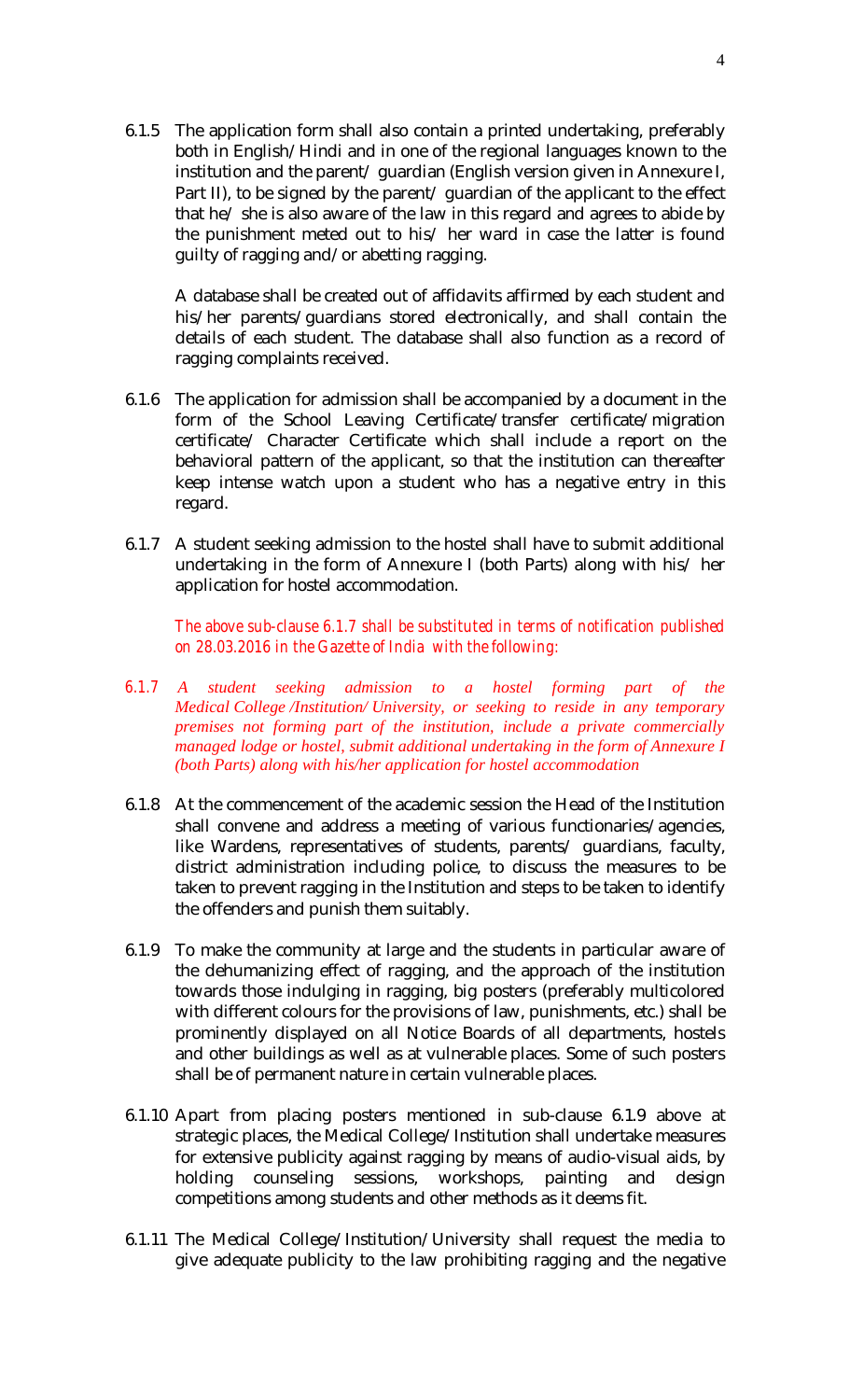6.1.5 The application form shall also contain a printed undertaking, preferably both in English/Hindi and in one of the regional languages known to the institution and the parent/ guardian (English version given in Annexure I, Part II), to be signed by the parent/ guardian of the applicant to the effect that he/ she is also aware of the law in this regard and agrees to abide by the punishment meted out to his/ her ward in case the latter is found guilty of ragging and/or abetting ragging.

A database shall be created out of affidavits affirmed by each student and his/her parents/guardians stored electronically, and shall contain the details of each student. The database shall also function as a record of ragging complaints received.

- 6.1.6 The application for admission shall be accompanied by a document in the form of the School Leaving Certificate/transfer certificate/migration certificate/ Character Certificate which shall include a report on the behavioral pattern of the applicant, so that the institution can thereafter keep intense watch upon a student who has a negative entry in this regard.
- 6.1.7 A student seeking admission to the hostel shall have to submit additional undertaking in the form of Annexure I (both Parts) along with his/ her application for hostel accommodation.

*The above sub-clause 6.1.7 shall be substituted in terms of notification published on 28.03.2016 in the Gazette of India with the following:*

- *6.1.7 A student seeking admission to a hostel forming part of the Medical College /Institution/ University, or seeking to reside in any temporary premises not forming part of the institution, include a private commercially managed lodge or hostel, submit additional undertaking in the form of Annexure I (both Parts) along with his/her application for hostel accommodation*
- 6.1.8 At the commencement of the academic session the Head of the Institution shall convene and address a meeting of various functionaries/agencies, like Wardens, representatives of students, parents/ guardians, faculty, district administration including police, to discuss the measures to be taken to prevent ragging in the Institution and steps to be taken to identify the offenders and punish them suitably.
- 6.1.9 To make the community at large and the students in particular aware of the dehumanizing effect of ragging, and the approach of the institution towards those indulging in ragging, big posters (preferably multicolored with different colours for the provisions of law, punishments, etc.) shall be prominently displayed on all Notice Boards of all departments, hostels and other buildings as well as at vulnerable places. Some of such posters shall be of permanent nature in certain vulnerable places.
- 6.1.10 Apart from placing posters mentioned in sub-clause 6.1.9 above at strategic places, the Medical College/Institution shall undertake measures for extensive publicity against ragging by means of audio-visual aids, by holding counseling sessions, workshops, painting and design competitions among students and other methods as it deems fit.
- 6.1.11 The Medical College/Institution/University shall request the media to give adequate publicity to the law prohibiting ragging and the negative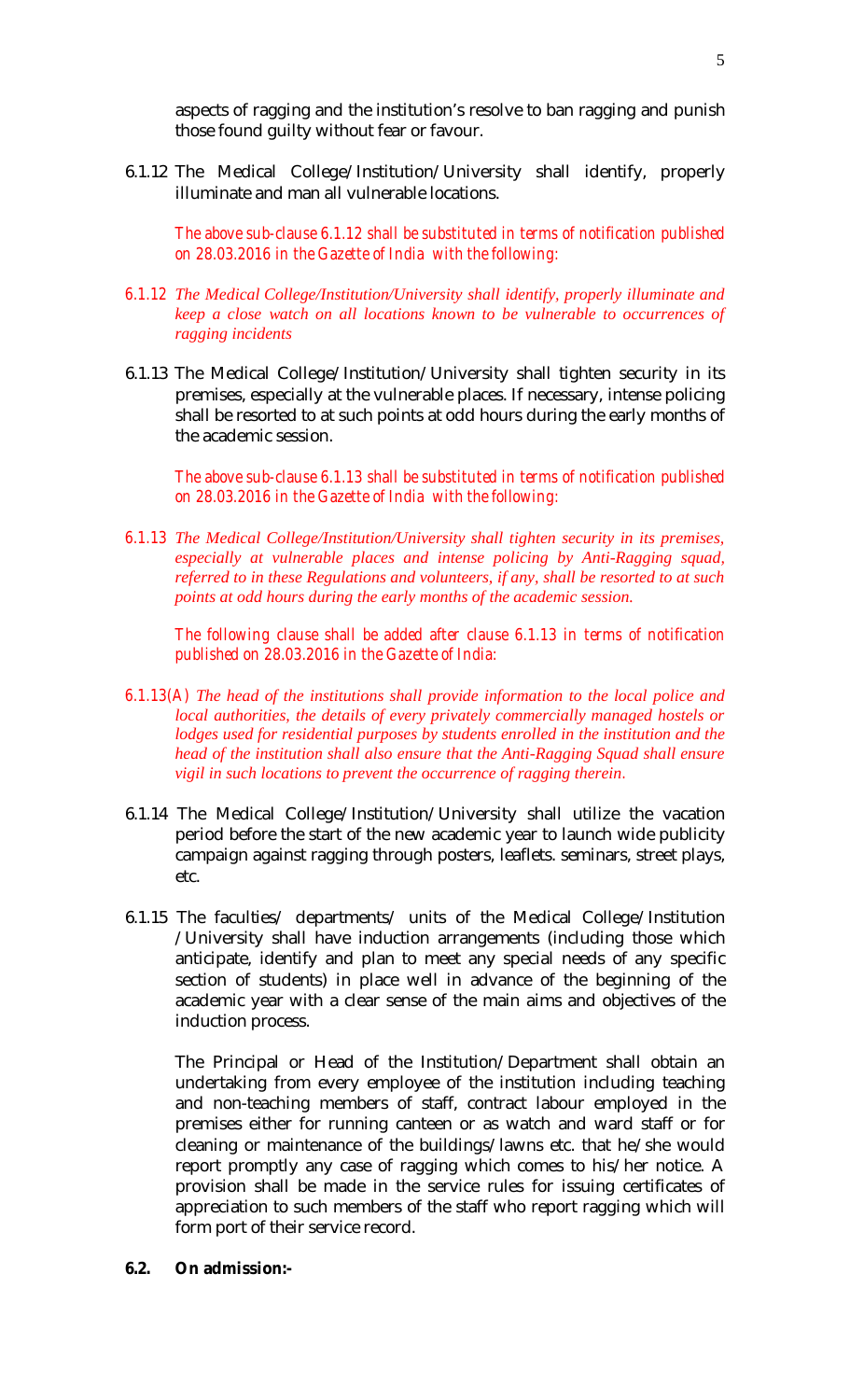aspects of ragging and the institution's resolve to ban ragging and punish those found guilty without fear or favour.

6.1.12 The Medical College/Institution/University shall identify, properly illuminate and man all vulnerable locations.

*The above sub-clause 6.1.12 shall be substituted in terms of notification published on 28.03.2016 in the Gazette of India with the following:*

- *6.1.12 The Medical College/Institution/University shall identify, properly illuminate and keep a close watch on all locations known to be vulnerable to occurrences of ragging incidents*
- 6.1.13 The Medical College/Institution/University shall tighten security in its premises, especially at the vulnerable places. If necessary, intense policing shall be resorted to at such points at odd hours during the early months of the academic session.

*The above sub-clause 6.1.13 shall be substituted in terms of notification published on 28.03.2016 in the Gazette of India with the following:*

*6.1.13 The Medical College/Institution/University shall tighten security in its premises, especially at vulnerable places and intense policing by Anti-Ragging squad, referred to in these Regulations and volunteers, if any, shall be resorted to at such points at odd hours during the early months of the academic session.*

*The following clause shall be added after clause 6.1.13 in terms of notification published on 28.03.2016 in the Gazette of India:*

- *6.1.13(A) The head of the institutions shall provide information to the local police and local authorities, the details of every privately commercially managed hostels or lodges used for residential purposes by students enrolled in the institution and the head of the institution shall also ensure that the Anti-Ragging Squad shall ensure vigil in such locations to prevent the occurrence of ragging therein.*
- 6.1.14 The Medical College/Institution/University shall utilize the vacation period before the start of the new academic year to launch wide publicity campaign against ragging through posters, leaflets. seminars, street plays, etc.
- 6.1.15 The faculties/ departments/ units of the Medical College/Institution /University shall have induction arrangements (including those which anticipate, identify and plan to meet any special needs of any specific section of students) in place well in advance of the beginning of the academic year with a clear sense of the main aims and objectives of the induction process.

The Principal or Head of the Institution/Department shall obtain an undertaking from every employee of the institution including teaching and non-teaching members of staff, contract labour employed in the premises either for running canteen or as watch and ward staff or for cleaning or maintenance of the buildings/lawns etc. that he/she would report promptly any case of ragging which comes to his/her notice. A provision shall be made in the service rules for issuing certificates of appreciation to such members of the staff who report ragging which will form port of their service record.

**6.2. On admission:-**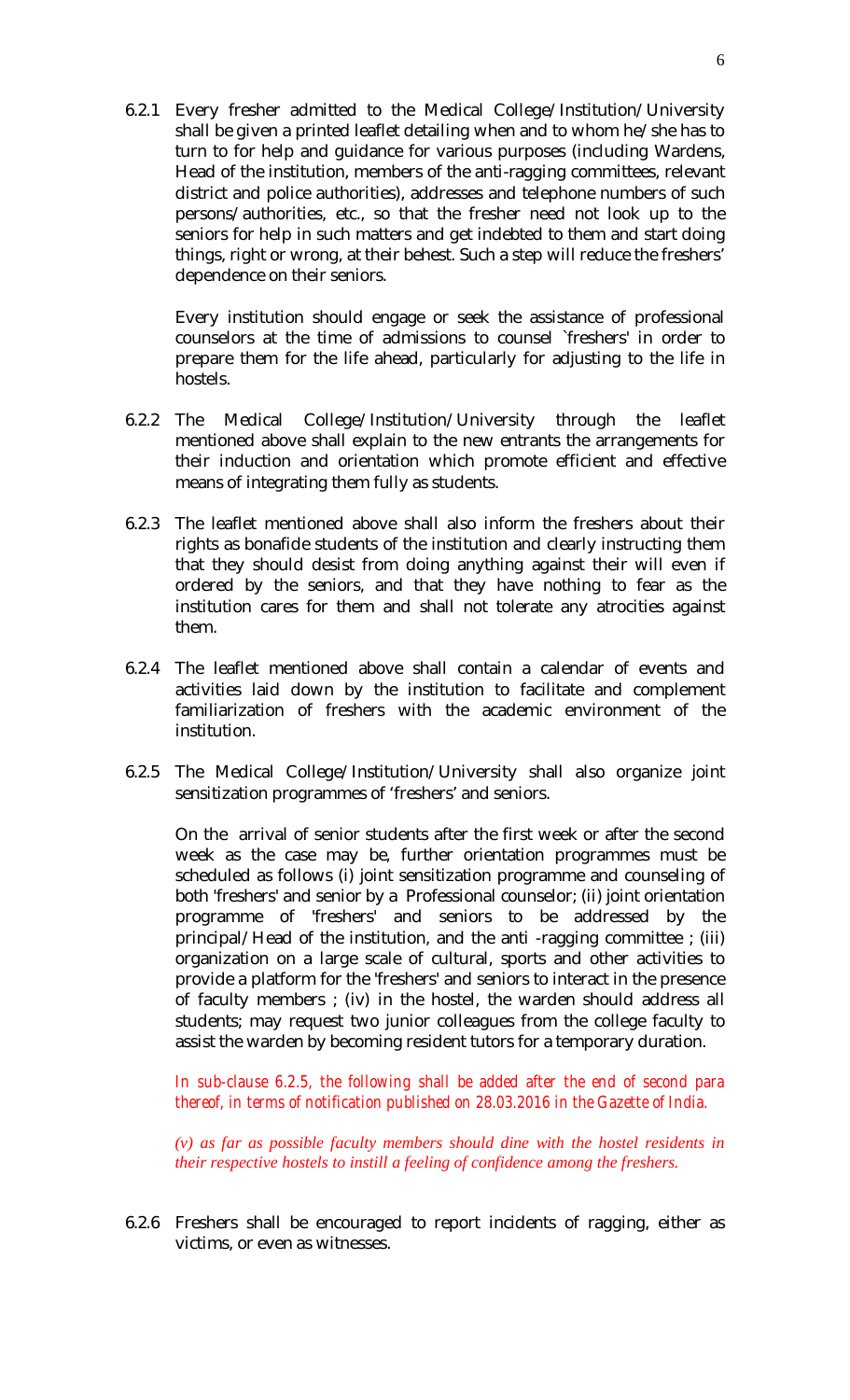6.2.1 Every fresher admitted to the Medical College/Institution/University shall be given a printed leaflet detailing when and to whom he/she has to turn to for help and guidance for various purposes (including Wardens, Head of the institution, members of the anti-ragging committees, relevant district and police authorities), addresses and telephone numbers of such persons/authorities, etc., so that the fresher need not look up to the seniors for help in such matters and get indebted to them and start doing things, right or wrong, at their behest. Such a step will reduce the freshers' dependence on their seniors.

Every institution should engage or seek the assistance of professional counselors at the time of admissions to counsel `freshers' in order to prepare them for the life ahead, particularly for adjusting to the life in hostels.

- 6.2.2 The Medical College/Institution/University through the leaflet mentioned above shall explain to the new entrants the arrangements for their induction and orientation which promote efficient and effective means of integrating them fully as students.
- 6.2.3 The leaflet mentioned above shall also inform the freshers about their rights as bonafide students of the institution and clearly instructing them that they should desist from doing anything against their will even if ordered by the seniors, and that they have nothing to fear as the institution cares for them and shall not tolerate any atrocities against them.
- 6.2.4 The leaflet mentioned above shall contain a calendar of events and activities laid down by the institution to facilitate and complement familiarization of freshers with the academic environment of the institution.
- 6.2.5 The Medical College/Institution/University shall also organize joint sensitization programmes of 'freshers' and seniors.

On the arrival of senior students after the first week or after the second week as the case may be, further orientation programmes must be scheduled as follows (i) joint sensitization programme and counseling of both 'freshers' and senior by a Professional counselor; (ii) joint orientation programme of 'freshers' and seniors to be addressed by the principal/Head of the institution, and the anti -ragging committee ; (iii) organization on a large scale of cultural, sports and other activities to provide a platform for the 'freshers' and seniors to interact in the presence of faculty members ; (iv) in the hostel, the warden should address all students; may request two junior colleagues from the college faculty to assist the warden by becoming resident tutors for a temporary duration.

*In sub-clause 6.2.5, the following shall be added after the end of second para thereof, in terms of notification published on 28.03.2016 in the Gazette of India.*

*(v) as far as possible faculty members should dine with the hostel residents in their respective hostels to instill a feeling of confidence among the freshers.*

6.2.6 Freshers shall be encouraged to report incidents of ragging, either as victims, or even as witnesses.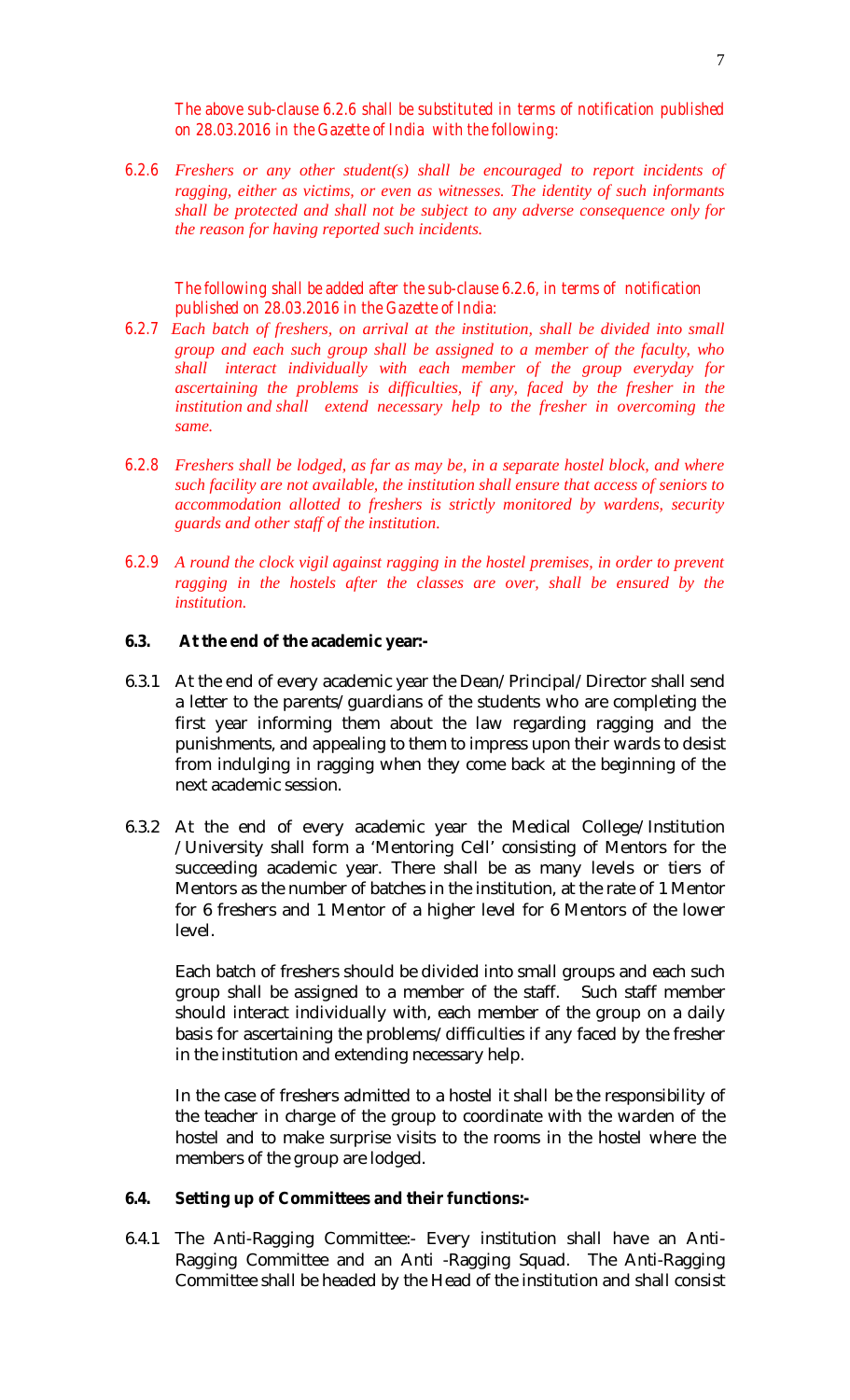*The above sub-clause 6.2.6 shall be substituted in terms of notification published on 28.03.2016 in the Gazette of India with the following:*

*6.2.6 Freshers or any other student(s) shall be encouraged to report incidents of ragging, either as victims, or even as witnesses. The identity of such informants shall be protected and shall not be subject to any adverse consequence only for the reason for having reported such incidents.*

*The following shall be added after the sub-clause 6.2.6, in terms of notification published on 28.03.2016 in the Gazette of India:*

- *6.2.7 Each batch of freshers, on arrival at the institution, shall be divided into small group and each such group shall be assigned to a member of the faculty, who shall interact individually with each member of the group everyday for ascertaining the problems is difficulties, if any, faced by the fresher in the institution and shall extend necessary help to the fresher in overcoming the same.*
- *6.2.8 Freshers shall be lodged, as far as may be, in a separate hostel block, and where such facility are not available, the institution shall ensure that access of seniors to accommodation allotted to freshers is strictly monitored by wardens, security guards and other staff of the institution.*
- *6.2.9 A round the clock vigil against ragging in the hostel premises, in order to prevent ragging in the hostels after the classes are over, shall be ensured by the institution.*

#### **6.3. At the end of the academic year:-**

- 6.3.1 At the end of every academic year the Dean/Principal/Director shall send a letter to the parents/guardians of the students who are completing the first year informing them about the law regarding ragging and the punishments, and appealing to them to impress upon their wards to desist from indulging in ragging when they come back at the beginning of the next academic session.
- 6.3.2 At the end of every academic year the Medical College/Institution /University shall form a 'Mentoring Cell' consisting of Mentors for the succeeding academic year. There shall be as many levels or tiers of Mentors as the number of batches in the institution, at the rate of 1 Mentor for 6 freshers and 1 Mentor of a higher level for 6 Mentors of the lower level.

Each batch of freshers should be divided into small groups and each such group shall be assigned to a member of the staff. Such staff member should interact individually with, each member of the group on a daily basis for ascertaining the problems/difficulties if any faced by the fresher in the institution and extending necessary help.

In the case of freshers admitted to a hostel it shall be the responsibility of the teacher in charge of the group to coordinate with the warden of the hostel and to make surprise visits to the rooms in the hostel where the members of the group are lodged.

#### **6.4. Setting up of Committees and their functions:-**

6.4.1 The Anti-Ragging Committee:- Every institution shall have an Anti-Ragging Committee and an Anti -Ragging Squad. The Anti-Ragging Committee shall be headed by the Head of the institution and shall consist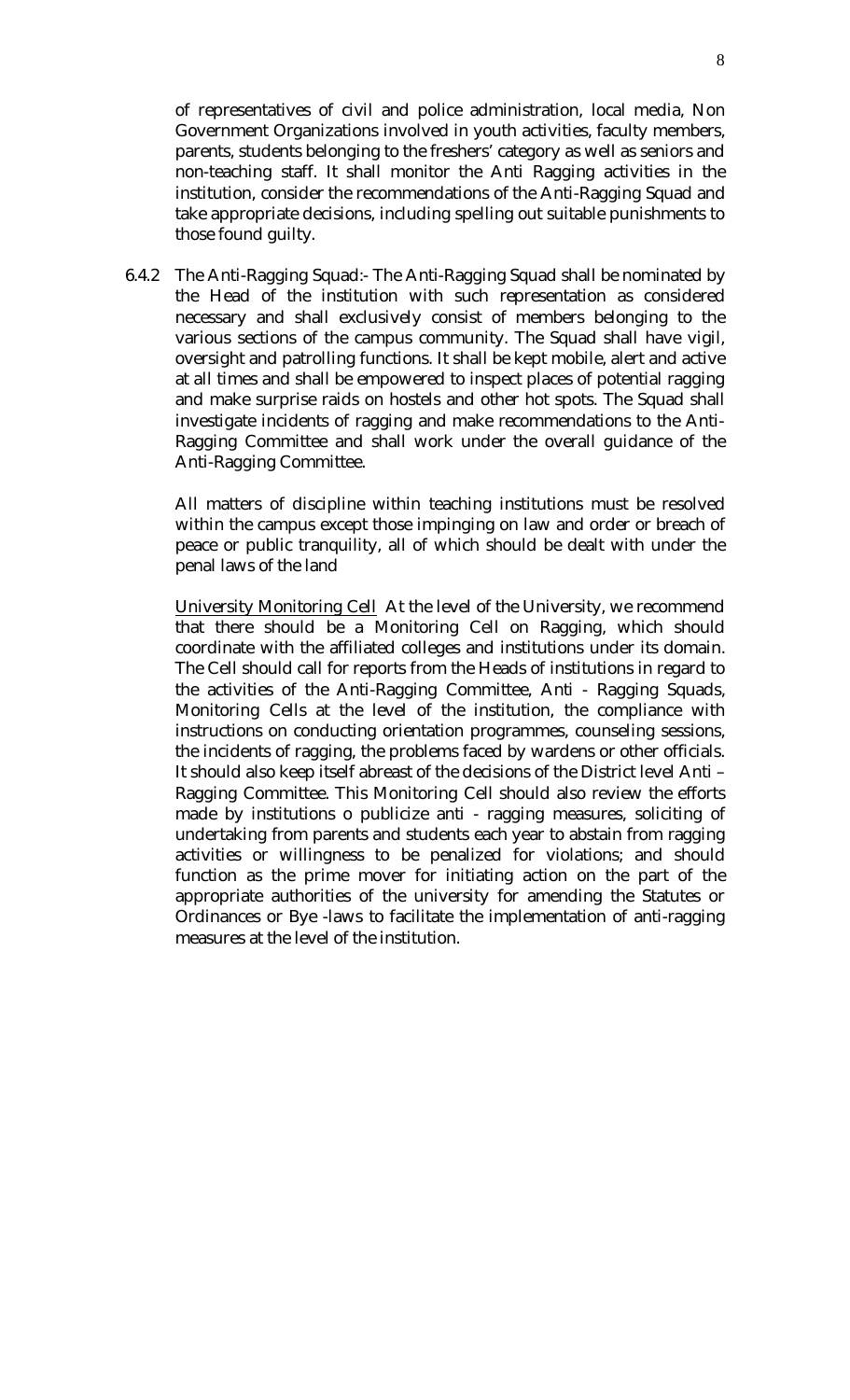of representatives of civil and police administration, local media, Non Government Organizations involved in youth activities, faculty members, parents, students belonging to the freshers' category as well as seniors and non-teaching staff. It shall monitor the Anti Ragging activities in the institution, consider the recommendations of the Anti-Ragging Squad and take appropriate decisions, including spelling out suitable punishments to those found guilty.

6.4.2 The Anti-Ragging Squad:- The Anti-Ragging Squad shall be nominated by the Head of the institution with such representation as considered necessary and shall exclusively consist of members belonging to the various sections of the campus community. The Squad shall have vigil, oversight and patrolling functions. It shall be kept mobile, alert and active at all times and shall be empowered to inspect places of potential ragging and make surprise raids on hostels and other hot spots. The Squad shall investigate incidents of ragging and make recommendations to the Anti-Ragging Committee and shall work under the overall guidance of the Anti-Ragging Committee.

All matters of discipline within teaching institutions must be resolved within the campus except those impinging on law and order or breach of peace or public tranquility, all of which should be dealt with under the penal laws of the land

University Monitoring Cell At the level of the University, we recommend that there should be a Monitoring Cell on Ragging, which should coordinate with the affiliated colleges and institutions under its domain. The Cell should call for reports from the Heads of institutions in regard to the activities of the Anti-Ragging Committee, Anti - Ragging Squads, Monitoring Cells at the level of the institution, the compliance with instructions on conducting orientation programmes, counseling sessions, the incidents of ragging, the problems faced by wardens or other officials. It should also keep itself abreast of the decisions of the District level Anti – Ragging Committee. This Monitoring Cell should also review the efforts made by institutions o publicize anti - ragging measures, soliciting of undertaking from parents and students each year to abstain from ragging activities or willingness to be penalized for violations; and should function as the prime mover for initiating action on the part of the appropriate authorities of the university for amending the Statutes or Ordinances or Bye -laws to facilitate the implementation of anti-ragging measures at the level of the institution.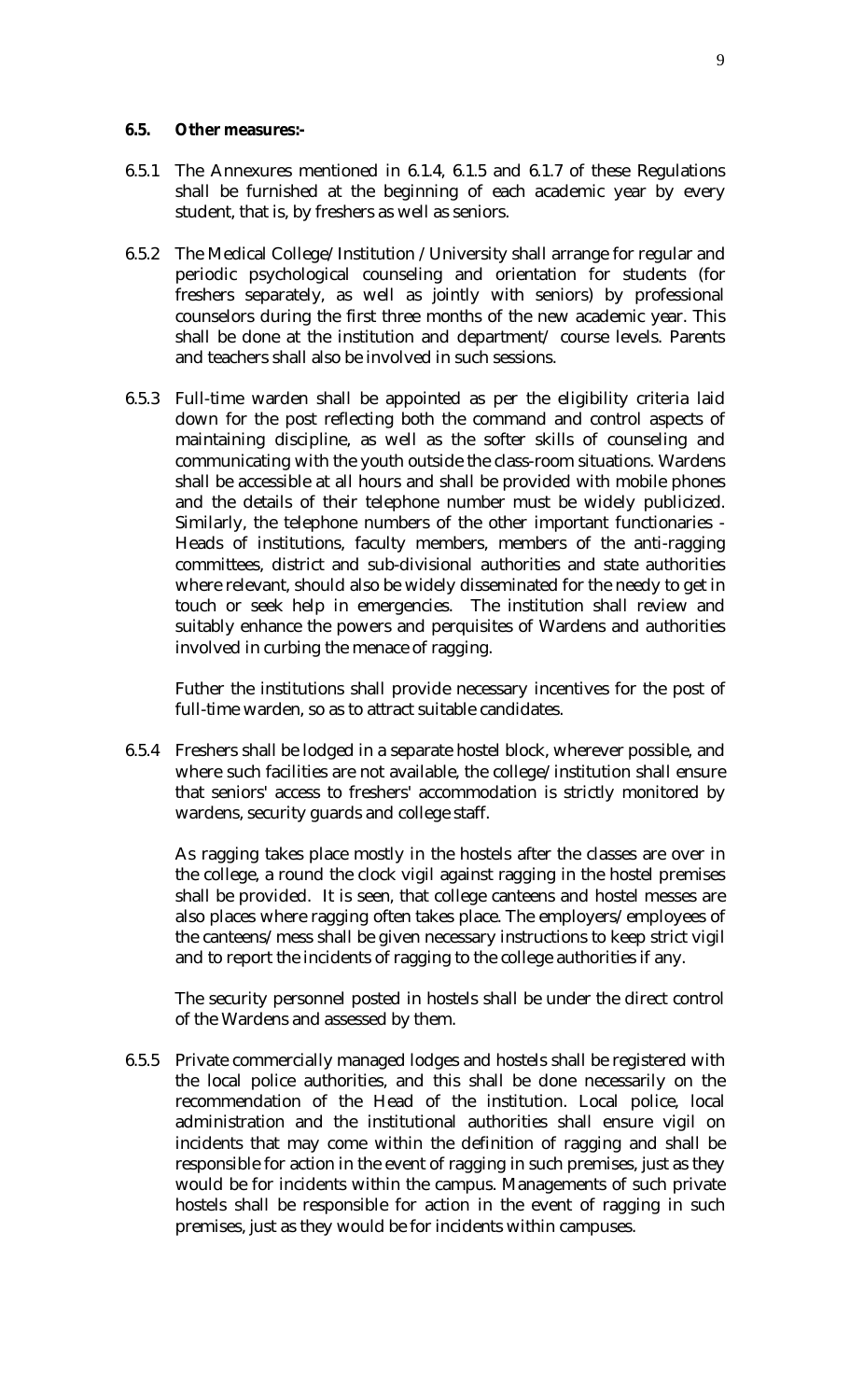## **6.5. Other measures:-**

- 6.5.1 The Annexures mentioned in 6.1.4, 6.1.5 and 6.1.7 of these Regulations shall be furnished at the beginning of each academic year by every student, that is, by freshers as well as seniors.
- 6.5.2 The Medical College/Institution /University shall arrange for regular and periodic psychological counseling and orientation for students (for freshers separately, as well as jointly with seniors) by professional counselors during the first three months of the new academic year. This shall be done at the institution and department/ course levels. Parents and teachers shall also be involved in such sessions.
- 6.5.3 Full-time warden shall be appointed as per the eligibility criteria laid down for the post reflecting both the command and control aspects of maintaining discipline, as well as the softer skills of counseling and communicating with the youth outside the class-room situations. Wardens shall be accessible at all hours and shall be provided with mobile phones and the details of their telephone number must be widely publicized. Similarly, the telephone numbers of the other important functionaries - Heads of institutions, faculty members, members of the anti-ragging committees, district and sub-divisional authorities and state authorities where relevant, should also be widely disseminated for the needy to get in touch or seek help in emergencies. The institution shall review and suitably enhance the powers and perquisites of Wardens and authorities involved in curbing the menace of ragging.

Futher the institutions shall provide necessary incentives for the post of full-time warden, so as to attract suitable candidates.

6.5.4 Freshers shall be lodged in a separate hostel block, wherever possible, and where such facilities are not available, the college/institution shall ensure that seniors' access to freshers' accommodation is strictly monitored by wardens, security guards and college staff.

As ragging takes place mostly in the hostels after the classes are over in the college, a round the clock vigil against ragging in the hostel premises shall be provided. It is seen, that college canteens and hostel messes are also places where ragging often takes place. The employers/employees of the canteens/mess shall be given necessary instructions to keep strict vigil and to report the incidents of ragging to the college authorities if any.

The security personnel posted in hostels shall be under the direct control of the Wardens and assessed by them.

6.5.5 Private commercially managed lodges and hostels shall be registered with the local police authorities, and this shall be done necessarily on the recommendation of the Head of the institution. Local police, local administration and the institutional authorities shall ensure vigil on incidents that may come within the definition of ragging and shall be responsible for action in the event of ragging in such premises, just as they would be for incidents within the campus. Managements of such private hostels shall be responsible for action in the event of ragging in such premises, just as they would be for incidents within campuses.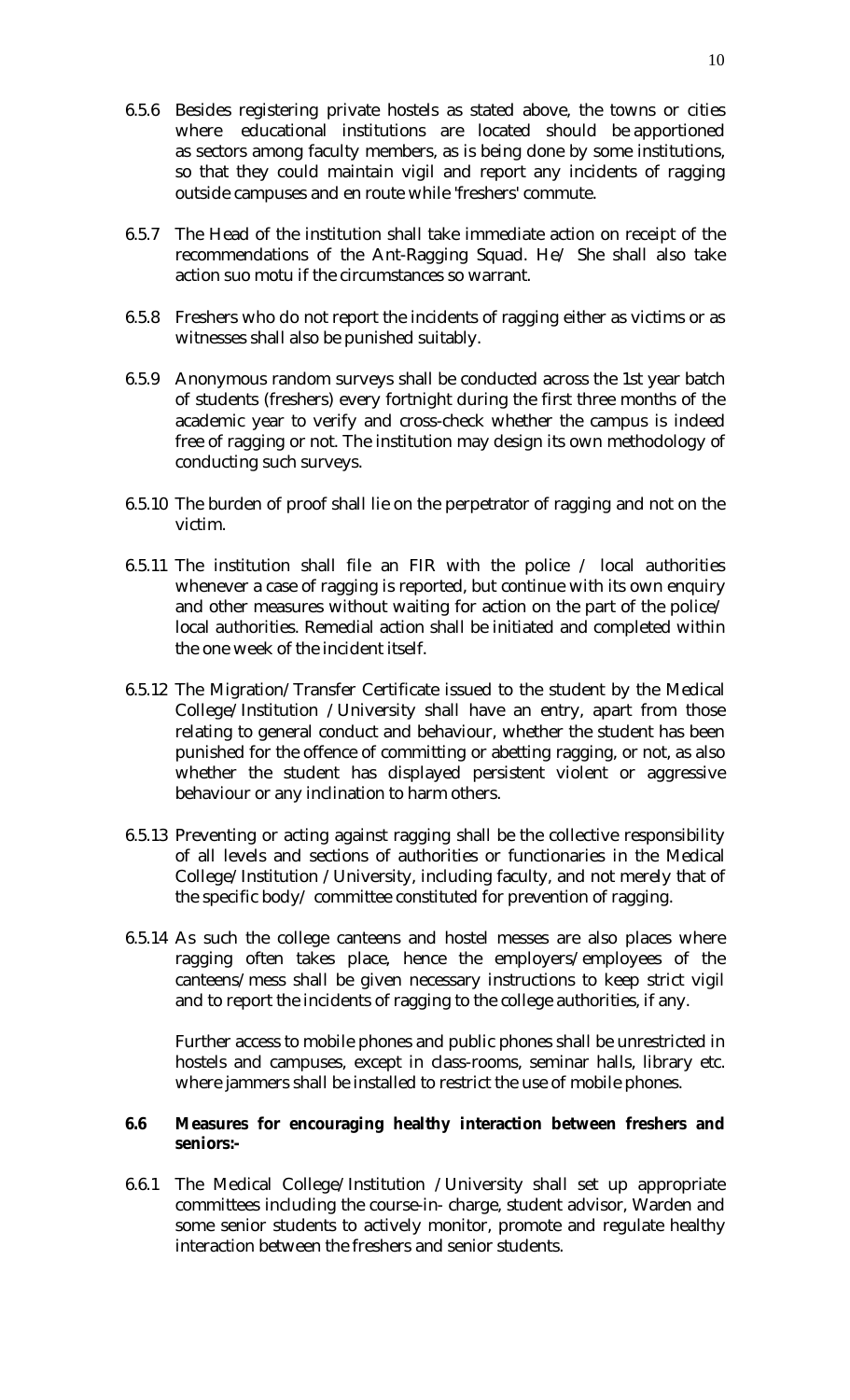- 6.5.6 Besides registering private hostels as stated above, the towns or cities where educational institutions are located should be apportioned as sectors among faculty members, as is being done by some institutions, so that they could maintain vigil and report any incidents of ragging outside campuses and en route while 'freshers' commute.
- 6.5.7 The Head of the institution shall take immediate action on receipt of the recommendations of the Ant-Ragging Squad. He/ She shall also take action suo motu if the circumstances so warrant.
- 6.5.8 Freshers who do not report the incidents of ragging either as victims or as witnesses shall also be punished suitably.
- 6.5.9 Anonymous random surveys shall be conducted across the 1st year batch of students (freshers) every fortnight during the first three months of the academic year to verify and cross-check whether the campus is indeed free of ragging or not. The institution may design its own methodology of conducting such surveys.
- 6.5.10 The burden of proof shall lie on the perpetrator of ragging and not on the victim.
- 6.5.11 The institution shall file an FIR with the police / local authorities whenever a case of ragging is reported, but continue with its own enquiry and other measures without waiting for action on the part of the police/ local authorities. Remedial action shall be initiated and completed within the one week of the incident itself.
- 6.5.12 The Migration/Transfer Certificate issued to the student by the Medical College/Institution /University shall have an entry, apart from those relating to general conduct and behaviour, whether the student has been punished for the offence of committing or abetting ragging, or not, as also whether the student has displayed persistent violent or aggressive behaviour or any inclination to harm others.
- 6.5.13 Preventing or acting against ragging shall be the collective responsibility of all levels and sections of authorities or functionaries in the Medical College/Institution /University, including faculty, and not merely that of the specific body/ committee constituted for prevention of ragging.
- 6.5.14 As such the college canteens and hostel messes are also places where ragging often takes place, hence the employers/employees of the canteens/mess shall be given necessary instructions to keep strict vigil and to report the incidents of ragging to the college authorities, if any.

Further access to mobile phones and public phones shall be unrestricted in hostels and campuses, except in class-rooms, seminar halls, library etc. where jammers shall be installed to restrict the use of mobile phones.

#### **6.6 Measures for encouraging healthy interaction between freshers and seniors:-**

6.6.1 The Medical College/Institution /University shall set up appropriate committees including the course-in- charge, student advisor, Warden and some senior students to actively monitor, promote and regulate healthy interaction between the freshers and senior students.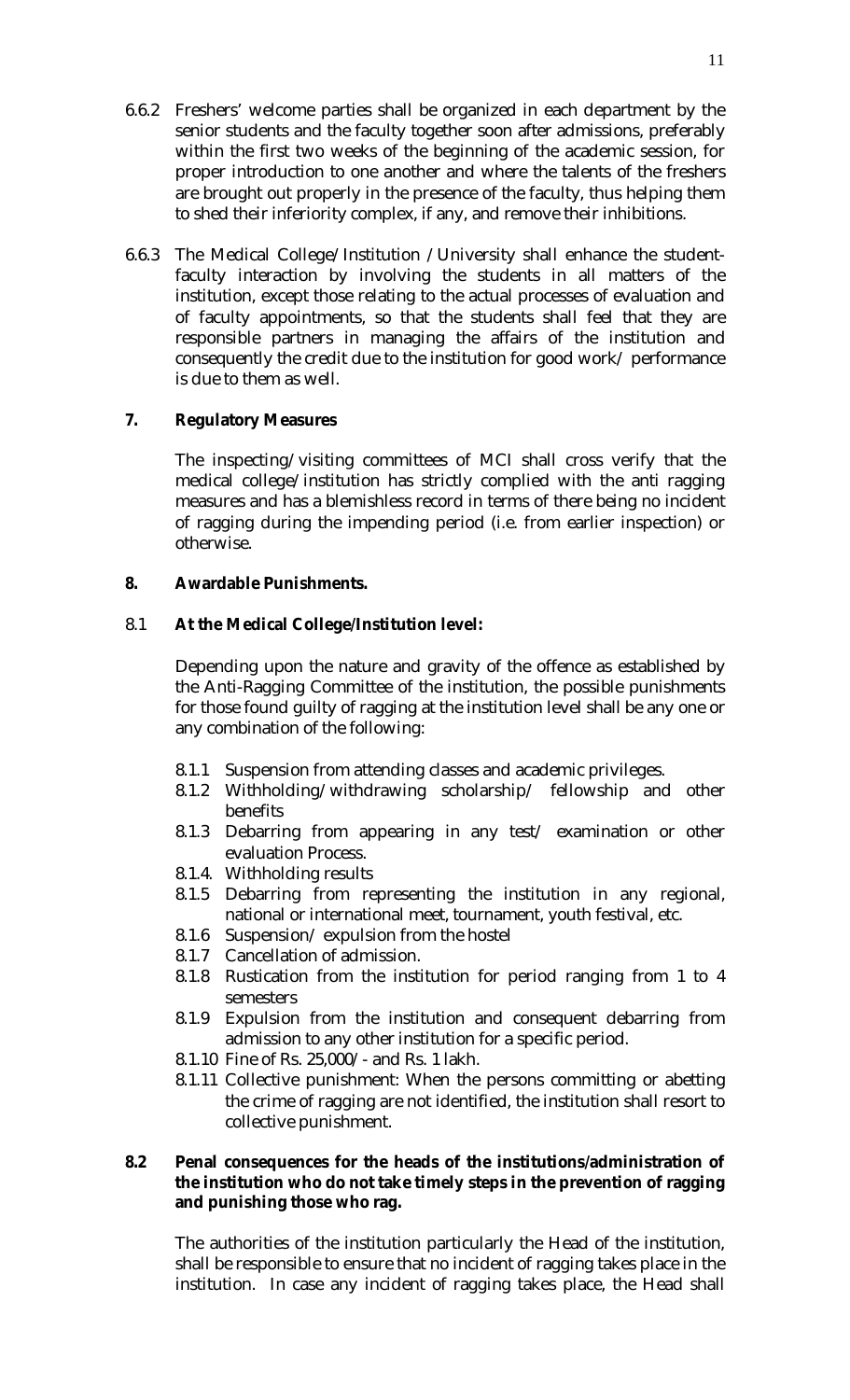- 6.6.2 Freshers' welcome parties shall be organized in each department by the senior students and the faculty together soon after admissions, preferably within the first two weeks of the beginning of the academic session, for proper introduction to one another and where the talents of the freshers are brought out properly in the presence of the faculty, thus helping them to shed their inferiority complex, if any, and remove their inhibitions.
- 6.6.3 The Medical College/Institution /University shall enhance the studentfaculty interaction by involving the students in all matters of the institution, except those relating to the actual processes of evaluation and of faculty appointments, so that the students shall feel that they are responsible partners in managing the affairs of the institution and consequently the credit due to the institution for good work/ performance is due to them as well.

## **7. Regulatory Measures**

The inspecting/visiting committees of MCI shall cross verify that the medical college/institution has strictly complied with the anti ragging measures and has a blemishless record in terms of there being no incident of ragging during the impending period (i.e. from earlier inspection) or otherwise.

## **8. Awardable Punishments.**

## 8.1 **At the Medical College/Institution level:**

Depending upon the nature and gravity of the offence as established by the Anti-Ragging Committee of the institution, the possible punishments for those found guilty of ragging at the institution level shall be any one or any combination of the following:

- 8.1.1 Suspension from attending classes and academic privileges.
- 8.1.2 Withholding/withdrawing scholarship/ fellowship and other benefits
- 8.1.3 Debarring from appearing in any test/ examination or other evaluation Process.
- 8.1.4. Withholding results
- 8.1.5 Debarring from representing the institution in any regional, national or international meet, tournament, youth festival, etc.
- 8.1.6 Suspension/ expulsion from the hostel
- 8.1.7 Cancellation of admission.
- 8.1.8 Rustication from the institution for period ranging from 1 to 4 semesters
- 8.1.9 Expulsion from the institution and consequent debarring from admission to any other institution for a specific period.
- 8.1.10 Fine of Rs. 25,000/- and Rs. 1 lakh.
- 8.1.11 Collective punishment: When the persons committing or abetting the crime of ragging are not identified, the institution shall resort to collective punishment.

## **8.2 Penal consequences for the heads of the institutions/administration of the institution who do not take timely steps in the prevention of ragging and punishing those who rag.**

The authorities of the institution particularly the Head of the institution, shall be responsible to ensure that no incident of ragging takes place in the institution. In case any incident of ragging takes place, the Head shall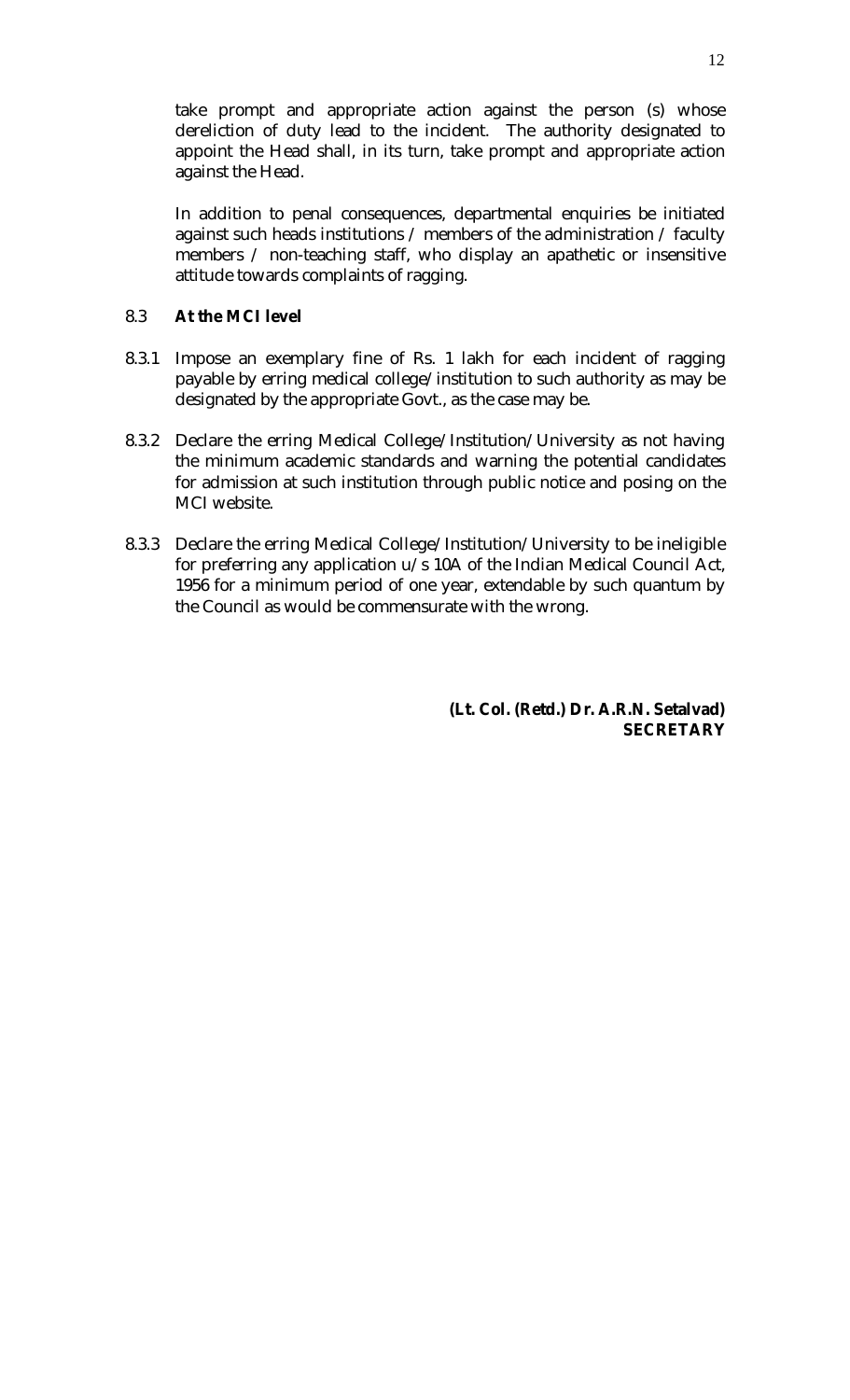take prompt and appropriate action against the person (s) whose dereliction of duty lead to the incident. The authority designated to appoint the Head shall, in its turn, take prompt and appropriate action against the Head.

In addition to penal consequences, departmental enquiries be initiated against such heads institutions / members of the administration / faculty members / non-teaching staff, who display an apathetic or insensitive attitude towards complaints of ragging.

## 8.3 **At the MCI level**

- 8.3.1 Impose an exemplary fine of Rs. 1 lakh for each incident of ragging payable by erring medical college/institution to such authority as may be designated by the appropriate Govt., as the case may be.
- 8.3.2 Declare the erring Medical College/Institution/University as not having the minimum academic standards and warning the potential candidates for admission at such institution through public notice and posing on the MCI website.
- 8.3.3 Declare the erring Medical College/Institution/University to be ineligible for preferring any application u/s 10A of the Indian Medical Council Act, 1956 for a minimum period of one year, extendable by such quantum by the Council as would be commensurate with the wrong.

**(Lt. Col. (Retd.) Dr. A.R.N. Setalvad) SECRETARY**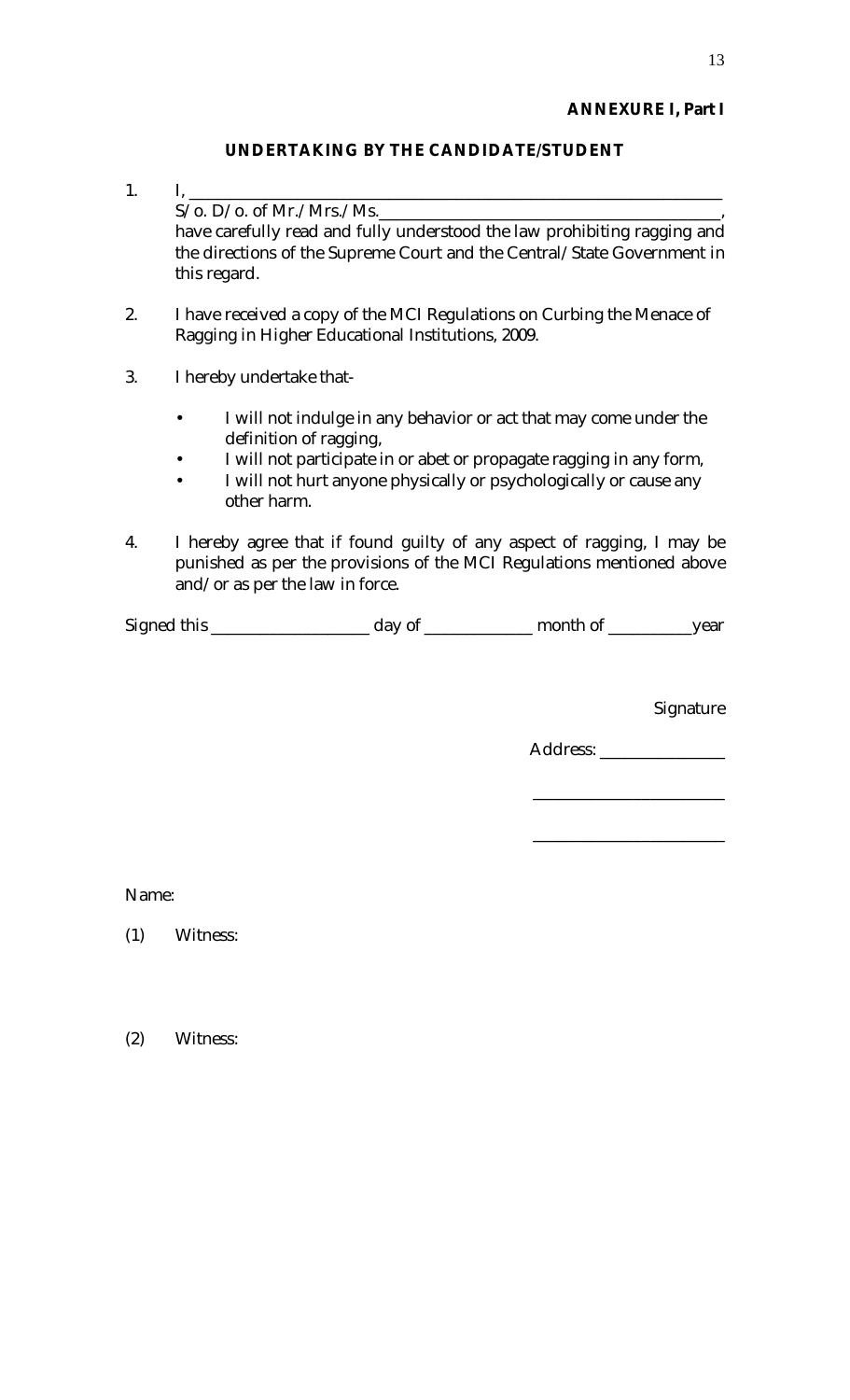## **ANNEXURE I, Part I**

## **UNDERTAKING BY THE CANDIDATE/STUDENT**

- 1. I, \_\_\_\_\_\_\_\_\_\_\_\_\_\_\_\_\_\_\_\_\_\_\_\_\_\_\_\_\_\_\_\_\_\_\_\_\_\_\_\_\_\_\_\_\_\_\_\_\_\_\_\_\_\_\_\_\_\_\_\_\_\_\_\_  $S/O. D/O.$  of Mr./Mrs./Ms. have carefully read and fully understood the law prohibiting ragging and the directions of the Supreme Court and the Central/State Government in this regard.
- 2. I have received a copy of the MCI Regulations on Curbing the Menace of Ragging in Higher Educational Institutions, 2009.
- 3. I hereby undertake that-
	- I will not indulge in any behavior or act that may come under the definition of ragging,
	- I will not participate in or abet or propagate ragging in any form,
	- I will not hurt anyone physically or psychologically or cause any other harm.
- 4. I hereby agree that if found guilty of any aspect of ragging, I may be punished as per the provisions of the MCI Regulations mentioned above and/or as per the law in force.

| Signed this | day of | month of | vear |
|-------------|--------|----------|------|
|             |        |          |      |

**Signature** 

Address: \_\_\_\_\_\_\_\_\_\_\_\_\_\_\_\_\_\_\_

\_\_\_\_\_\_\_\_\_\_\_\_\_\_\_\_\_\_\_\_\_\_\_

\_\_\_\_\_\_\_\_\_\_\_\_\_\_\_\_\_\_\_\_\_\_\_

Name:

(1) Witness:

(2) Witness: